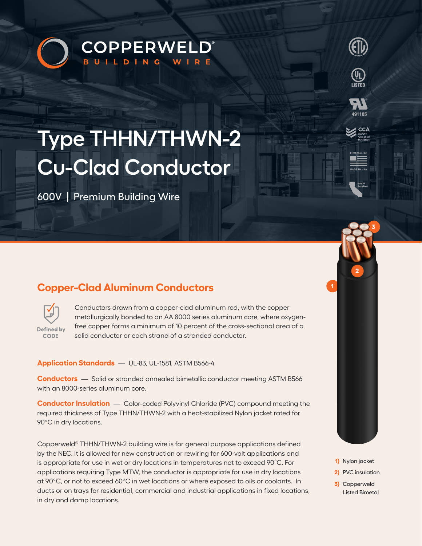# **COPPERWELD®** BUILDING WIRE



600V | Premium Building Wire

## **Copper-Clad Aluminum Conductors**



Conductors drawn from a copper-clad aluminum rod, with the copper metallurgically bonded to an AA 8000 series aluminum core, where oxygenfree copper forms a minimum of 10 percent of the cross-sectional area of a solid conductor or each strand of a stranded conductor.

### **Application Standards** — UL-83, UL-1581, ASTM B566-4

**Conductors** — Solid or stranded annealed bimetallic conductor meeting ASTM B566 with an 8000-series aluminum core.

**Conductor Insulation** — Color-coded Polyvinyl Chloride (PVC) compound meeting the required thickness of Type THHN/THWN-2 with a heat-stabilized Nylon jacket rated for 90°C in dry locations.

Copperweld® THHN/THWN-2 building wire is for general purpose applications defined by the NEC. It is allowed for new construction or rewiring for 600-volt applications and is appropriate for use in wet or dry locations in temperatures not to exceed 90˚C. For applications requiring Type MTW, the conductor is appropriate for use in dry locations at 90°C, or not to exceed 60°C in wet locations or where exposed to oils or coolants. In ducts or on trays for residential, commercial and industrial applications in fixed locations, in dry and damp locations.

**1)** Nylon jacket

**1**

**3**

**2**

**(L)**<br>LISTED

- **2)** PVC insulation
- **3)** Copperweld Listed Bimetal